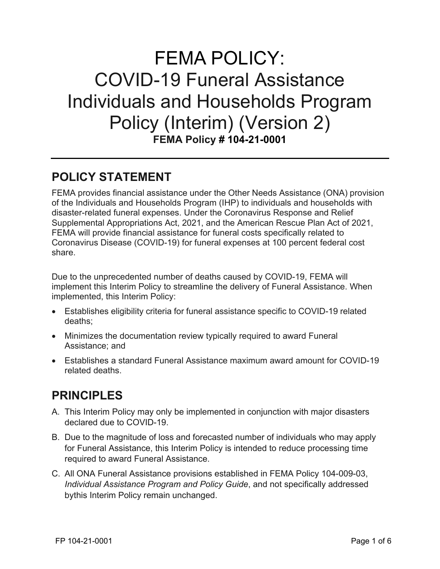# FEMA POLICY: COVID-19 Funeral Assistance Individuals and Households Program Policy (Interim) (Version 2) **FEMA Policy # 104-21-0001**

### **POLICY STATEMENT**

FEMA provides financial assistance under the Other Needs Assistance (ONA) provision of the Individuals and Households Program (IHP) to individuals and households with disaster-related funeral expenses. Under the Coronavirus Response and Relief Supplemental Appropriations Act, 2021, and the American Rescue Plan Act of 2021, FEMA will provide financial assistance for funeral costs specifically related to Coronavirus Disease (COVID-19) for funeral expenses at 100 percent federal cost share.

Due to the unprecedented number of deaths caused by COVID-19, FEMA will implement this Interim Policy to streamline the delivery of Funeral Assistance. When implemented, this Interim Policy:

- Establishes eligibility criteria for funeral assistance specific to COVID-19 related deaths;
- Minimizes the documentation review typically required to award Funeral Assistance; and
- Establishes a standard Funeral Assistance maximum award amount for COVID-19 related deaths.

# **PRINCIPLES**

- A. This Interim Policy may only be implemented in conjunction with major disasters declared due to COVID-19.
- B. Due to the magnitude of loss and forecasted number of individuals who may apply for Funeral Assistance, this Interim Policy is intended to reduce processing time required to award Funeral Assistance.
- C. All ONA Funeral Assistance provisions established in FEMA Policy 104-009-03, *Individual Assistance Program and Policy Guide*, and not specifically addressed bythis Interim Policy remain unchanged.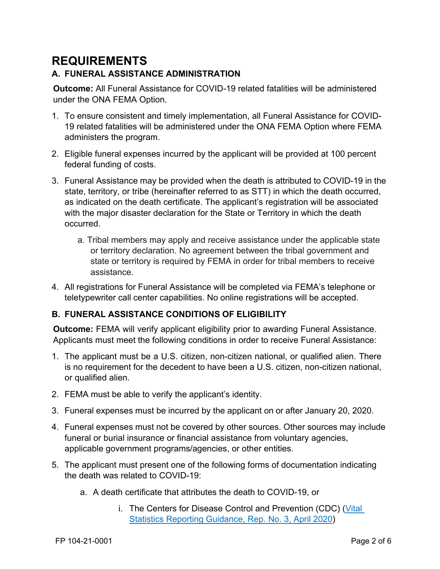# **REQUIREMENTS**

#### **A. FUNERAL ASSISTANCE ADMINISTRATION**

**Outcome:** All Funeral Assistance for COVID-19 related fatalities will be administered under the ONA FEMA Option.

- 1. To ensure consistent and timely implementation, all Funeral Assistance for COVID-19 related fatalities will be administered under the ONA FEMA Option where FEMA administers the program.
- 2. Eligible funeral expenses incurred by the applicant will be provided at 100 percent federal funding of costs.
- 3. Funeral Assistance may be provided when the death is attributed to COVID-19 in the state, territory, or tribe (hereinafter referred to as STT) in which the death occurred, as indicated on the death certificate. The applicant's registration will be associated with the major disaster declaration for the State or Territory in which the death occurred.
	- a. Tribal members may apply and receive assistance under the applicable state or territory declaration. No agreement between the tribal government and state or territory is required by FEMA in order for tribal members to receive assistance.
- 4. All registrations for Funeral Assistance will be completed via FEMA's telephone or teletypewriter call center capabilities. No online registrations will be accepted.

#### **B. FUNERAL ASSISTANCE CONDITIONS OF ELIGIBILITY**

**Outcome:** FEMA will verify applicant eligibility prior to awarding Funeral Assistance. Applicants must meet the following conditions in order to receive Funeral Assistance:

- 1. The applicant must be a U.S. citizen, non-citizen national, or qualified alien. There is no requirement for the decedent to have been a U.S. citizen, non-citizen national, or qualified alien.
- 2. FEMA must be able to verify the applicant's identity.
- 3. Funeral expenses must be incurred by the applicant on or after January 20, 2020.
- 4. Funeral expenses must not be covered by other sources. Other sources may include funeral or burial insurance or financial assistance from voluntary agencies, applicable government programs/agencies, or other entities.
- 5. The applicant must present one of the following forms of documentation indicating the death was related to COVID-19:
	- a. A death certificate that attributes the death to COVID-19, or
		- i. The Centers for Disease Control and Prevention (CDC) [\(Vital](https://www.cdc.gov/nchs/data/nvss/vsrg/vsrg03-508.pdf)  [Statistics](https://www.cdc.gov/nchs/data/nvss/vsrg/vsrg03-508.pdf) Reporting Guidance, Rep. No. [3, April 2020\)](https://www.cdc.gov/nchs/data/nvss/vsrg/vsrg03-508.pdf)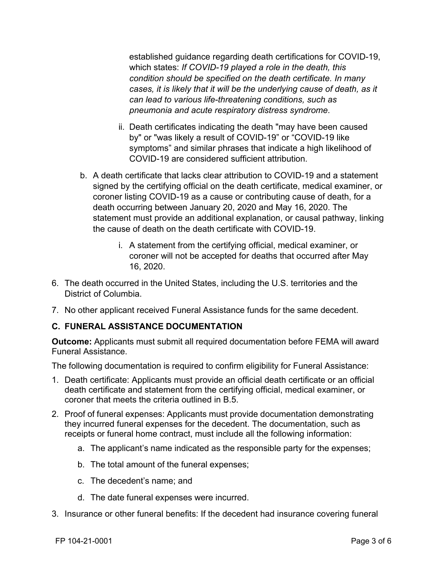established guidance regarding death certifications for COVID-19, which states: *If COVID-19 played a role in the death, this condition should be specified on the death certificate. In many cases, it is likely that it will be the underlying cause of death, as it can lead to various life-threatening conditions, such as pneumonia and acute respiratory distress syndrome*.

- ii. Death certificates indicating the death "may have been caused by" or "was likely a result of COVID-19" or "COVID-19 like symptoms" and similar phrases that indicate a high likelihood of COVID-19 are considered sufficient attribution.
- b. A death certificate that lacks clear attribution to COVID-19 and a statement signed by the certifying official on the death certificate, medical examiner, or coroner listing COVID-19 as a cause or contributing cause of death, for a death occurring between January 20, 2020 and May 16, 2020. The statement must provide an additional explanation, or causal pathway, linking the cause of death on the death certificate with COVID-19.
	- i. A statement from the certifying official, medical examiner, or coroner will not be accepted for deaths that occurred after May 16, 2020.
- 6. The death occurred in the United States, including the U.S. territories and the District of Columbia.
- 7. No other applicant received Funeral Assistance funds for the same decedent.

#### **C. FUNERAL ASSISTANCE DOCUMENTATION**

**Outcome:** Applicants must submit all required documentation before FEMA will award Funeral Assistance.

The following documentation is required to confirm eligibility for Funeral Assistance:

- 1. Death certificate: Applicants must provide an official death certificate or an official death certificate and statement from the certifying official, medical examiner, or coroner that meets the criteria outlined in B.5.
- 2. Proof of funeral expenses: Applicants must provide documentation demonstrating they incurred funeral expenses for the decedent. The documentation, such as receipts or funeral home contract, must include all the following information:
	- a. The applicant's name indicated as the responsible party for the expenses;
	- b. The total amount of the funeral expenses;
	- c. The decedent's name; and
	- d. The date funeral expenses were incurred.
- 3. Insurance or other funeral benefits: If the decedent had insurance covering funeral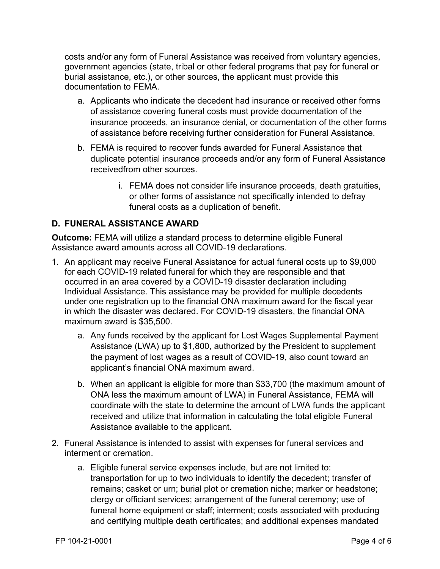costs and/or any form of Funeral Assistance was received from voluntary agencies, government agencies (state, tribal or other federal programs that pay for funeral or burial assistance, etc.), or other sources, the applicant must provide this documentation to FEMA.

- a. Applicants who indicate the decedent had insurance or received other forms of assistance covering funeral costs must provide documentation of the insurance proceeds, an insurance denial, or documentation of the other forms of assistance before receiving further consideration for Funeral Assistance.
- b. FEMA is required to recover funds awarded for Funeral Assistance that duplicate potential insurance proceeds and/or any form of Funeral Assistance receivedfrom other sources.
	- i. FEMA does not consider life insurance proceeds, death gratuities, or other forms of assistance not specifically intended to defray funeral costs as a duplication of benefit.

#### **D. FUNERAL ASSISTANCE AWARD**

**Outcome:** FEMA will utilize a standard process to determine eligible Funeral Assistance award amounts across all COVID-19 declarations.

- 1. An applicant may receive Funeral Assistance for actual funeral costs up to \$9,000 for each COVID-19 related funeral for which they are responsible and that occurred in an area covered by a COVID-19 disaster declaration including Individual Assistance. This assistance may be provided for multiple decedents under one registration up to the financial ONA maximum award for the fiscal year in which the disaster was declared. For COVID-19 disasters, the financial ONA maximum award is \$35,500.
	- a. Any funds received by the applicant for Lost Wages Supplemental Payment Assistance (LWA) up to \$1,800, authorized by the President to supplement the payment of lost wages as a result of COVID-19, also count toward an applicant's financial ONA maximum award.
	- b. When an applicant is eligible for more than \$33,700 (the maximum amount of ONA less the maximum amount of LWA) in Funeral Assistance, FEMA will coordinate with the state to determine the amount of LWA funds the applicant received and utilize that information in calculating the total eligible Funeral Assistance available to the applicant.
- 2. Funeral Assistance is intended to assist with expenses for funeral services and interment or cremation.
	- a. Eligible funeral service expenses include, but are not limited to: transportation for up to two individuals to identify the decedent; transfer of remains; casket or urn; burial plot or cremation niche; marker or headstone; clergy or officiant services; arrangement of the funeral ceremony; use of funeral home equipment or staff; interment; costs associated with producing and certifying multiple death certificates; and additional expenses mandated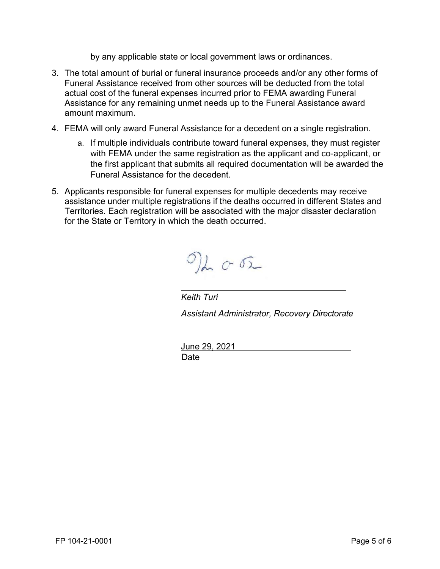by any applicable state or local government laws or ordinances.

- 3. The total amount of burial or funeral insurance proceeds and/or any other forms of Funeral Assistance received from other sources will be deducted from the total actual cost of the funeral expenses incurred prior to FEMA awarding Funeral Assistance for any remaining unmet needs up to the Funeral Assistance award amount maximum.
- 4. FEMA will only award Funeral Assistance for a decedent on a single registration.
	- a. If multiple individuals contribute toward funeral expenses, they must register with FEMA under the same registration as the applicant and co-applicant, or the first applicant that submits all required documentation will be awarded the Funeral Assistance for the decedent.
- 5. Applicants responsible for funeral expenses for multiple decedents may receive assistance under multiple registrations if the deaths occurred in different States and Territories. Each registration will be associated with the major disaster declaration for the State or Territory in which the death occurred.

 $\mathcal{O}$ de or

*Keith Turi Assistant Administrator, Recovery Directorate*

June 29, 2021 **Date**